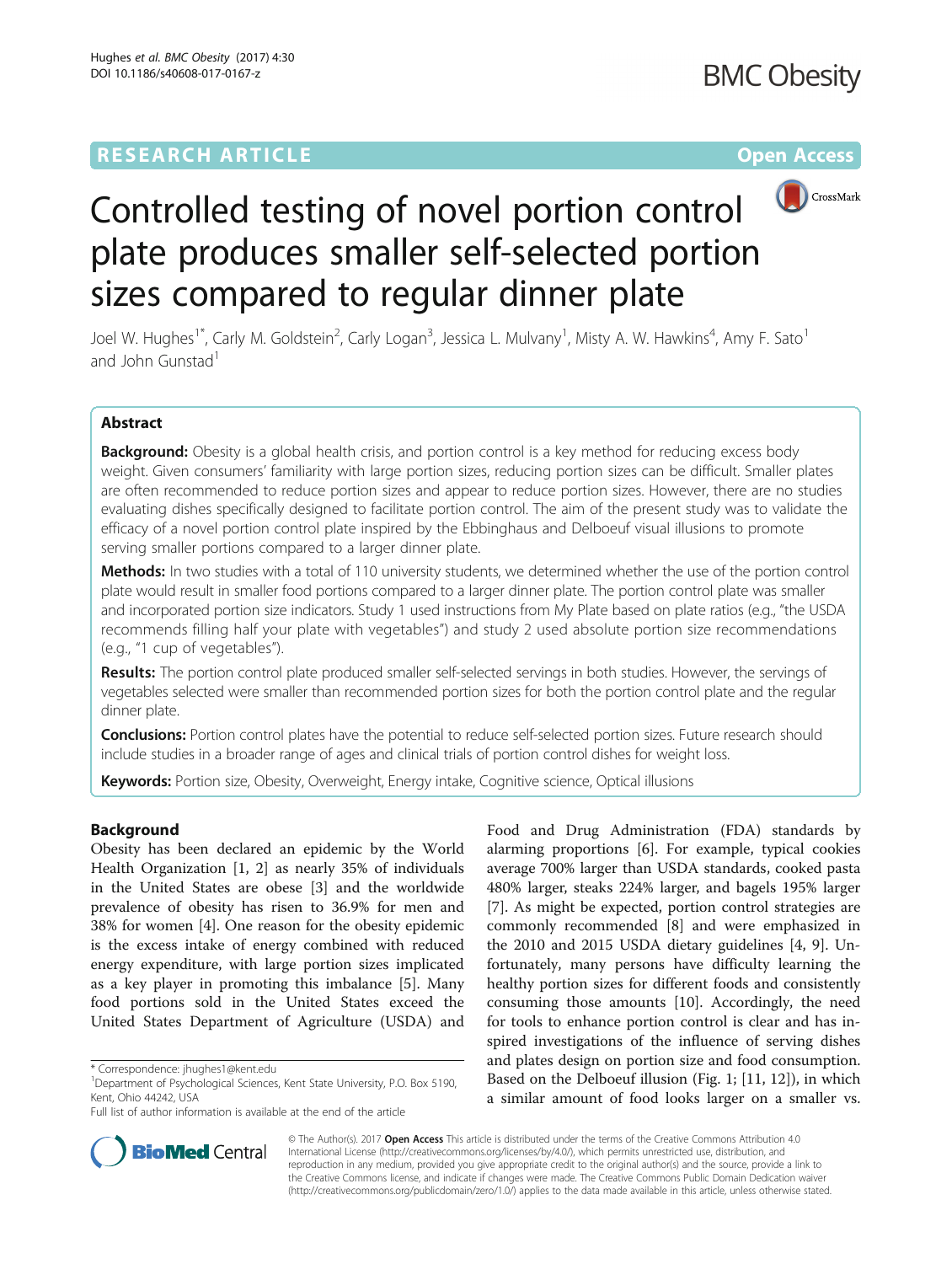# **RESEARCH ARTICLE Example 2014 12:30 The Contract of Contract ACCESS**



# Controlled testing of novel portion control plate produces smaller self-selected portion sizes compared to regular dinner plate

Joel W. Hughes<sup>1\*</sup>, Carly M. Goldstein<sup>2</sup>, Carly Logan<sup>3</sup>, Jessica L. Mulvany<sup>1</sup>, Misty A. W. Hawkins<sup>4</sup>, Amy F. Sato<sup>1</sup> and John Gunstad<sup>1</sup>

# Abstract

Background: Obesity is a global health crisis, and portion control is a key method for reducing excess body weight. Given consumers' familiarity with large portion sizes, reducing portion sizes can be difficult. Smaller plates are often recommended to reduce portion sizes and appear to reduce portion sizes. However, there are no studies evaluating dishes specifically designed to facilitate portion control. The aim of the present study was to validate the efficacy of a novel portion control plate inspired by the Ebbinghaus and Delboeuf visual illusions to promote serving smaller portions compared to a larger dinner plate.

Methods: In two studies with a total of 110 university students, we determined whether the use of the portion control plate would result in smaller food portions compared to a larger dinner plate. The portion control plate was smaller and incorporated portion size indicators. Study 1 used instructions from My Plate based on plate ratios (e.g., "the USDA recommends filling half your plate with vegetables") and study 2 used absolute portion size recommendations (e.g., "1 cup of vegetables").

Results: The portion control plate produced smaller self-selected servings in both studies. However, the servings of vegetables selected were smaller than recommended portion sizes for both the portion control plate and the regular dinner plate.

Conclusions: Portion control plates have the potential to reduce self-selected portion sizes. Future research should include studies in a broader range of ages and clinical trials of portion control dishes for weight loss.

Keywords: Portion size, Obesity, Overweight, Energy intake, Cognitive science, Optical illusions

## Background

Obesity has been declared an epidemic by the World Health Organization [[1, 2\]](#page-6-0) as nearly 35% of individuals in the United States are obese [\[3](#page-6-0)] and the worldwide prevalence of obesity has risen to 36.9% for men and 38% for women [\[4](#page-6-0)]. One reason for the obesity epidemic is the excess intake of energy combined with reduced energy expenditure, with large portion sizes implicated as a key player in promoting this imbalance [[5\]](#page-6-0). Many food portions sold in the United States exceed the United States Department of Agriculture (USDA) and

Food and Drug Administration (FDA) standards by alarming proportions [[6\]](#page-6-0). For example, typical cookies average 700% larger than USDA standards, cooked pasta 480% larger, steaks 224% larger, and bagels 195% larger [[7\]](#page-7-0). As might be expected, portion control strategies are commonly recommended [\[8\]](#page-7-0) and were emphasized in the 2010 and 2015 USDA dietary guidelines [\[4](#page-6-0), [9](#page-7-0)]. Unfortunately, many persons have difficulty learning the healthy portion sizes for different foods and consistently consuming those amounts [[10\]](#page-7-0). Accordingly, the need for tools to enhance portion control is clear and has inspired investigations of the influence of serving dishes and plates design on portion size and food consumption. Based on the Delboeuf illusion (Fig. [1;](#page-1-0) [\[11, 12\]](#page-7-0)), in which a similar amount of food looks larger on a smaller vs.



© The Author(s). 2017 **Open Access** This article is distributed under the terms of the Creative Commons Attribution 4.0 International License [\(http://creativecommons.org/licenses/by/4.0/](http://creativecommons.org/licenses/by/4.0/)), which permits unrestricted use, distribution, and reproduction in any medium, provided you give appropriate credit to the original author(s) and the source, provide a link to the Creative Commons license, and indicate if changes were made. The Creative Commons Public Domain Dedication waiver [\(http://creativecommons.org/publicdomain/zero/1.0/](http://creativecommons.org/publicdomain/zero/1.0/)) applies to the data made available in this article, unless otherwise stated.

<sup>\*</sup> Correspondence: [jhughes1@kent.edu](mailto:jhughes1@kent.edu) <sup>1</sup>

<sup>&</sup>lt;sup>1</sup>Department of Psychological Sciences, Kent State University, P.O. Box 5190, Kent, Ohio 44242, USA

Full list of author information is available at the end of the article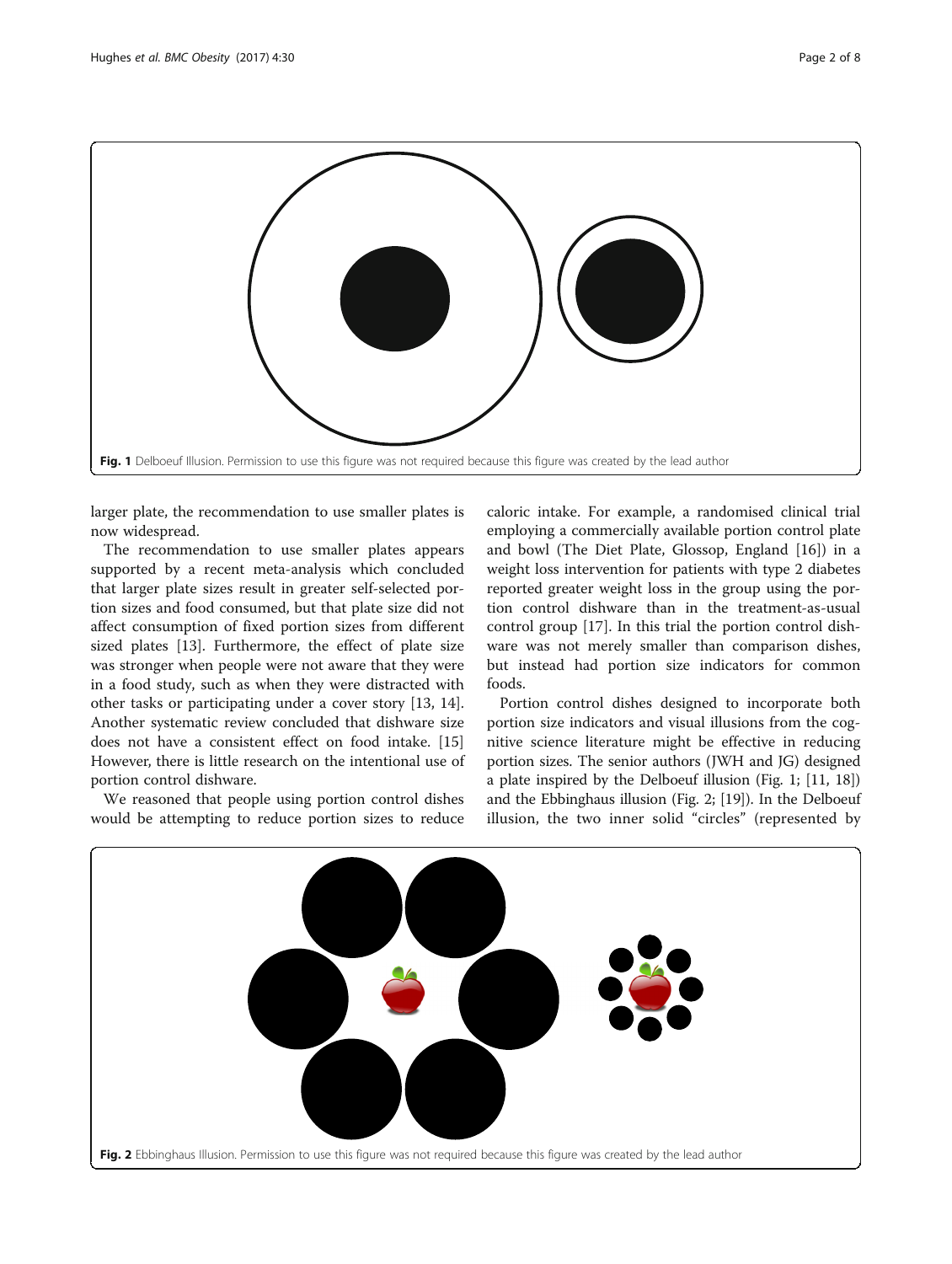<span id="page-1-0"></span>

larger plate, the recommendation to use smaller plates is now widespread.

The recommendation to use smaller plates appears supported by a recent meta-analysis which concluded that larger plate sizes result in greater self-selected portion sizes and food consumed, but that plate size did not affect consumption of fixed portion sizes from different sized plates [[13](#page-7-0)]. Furthermore, the effect of plate size was stronger when people were not aware that they were in a food study, such as when they were distracted with other tasks or participating under a cover story [\[13, 14](#page-7-0)]. Another systematic review concluded that dishware size does not have a consistent effect on food intake. [[15](#page-7-0)] However, there is little research on the intentional use of portion control dishware.

We reasoned that people using portion control dishes would be attempting to reduce portion sizes to reduce caloric intake. For example, a randomised clinical trial employing a commercially available portion control plate and bowl (The Diet Plate, Glossop, England [\[16\]](#page-7-0)) in a weight loss intervention for patients with type 2 diabetes reported greater weight loss in the group using the portion control dishware than in the treatment-as-usual control group [[17\]](#page-7-0). In this trial the portion control dishware was not merely smaller than comparison dishes, but instead had portion size indicators for common foods.

Portion control dishes designed to incorporate both portion size indicators and visual illusions from the cognitive science literature might be effective in reducing portion sizes. The senior authors (JWH and JG) designed a plate inspired by the Delboeuf illusion (Fig. 1; [\[11](#page-7-0), [18](#page-7-0)]) and the Ebbinghaus illusion (Fig. 2; [[19](#page-7-0)]). In the Delboeuf illusion, the two inner solid "circles" (represented by

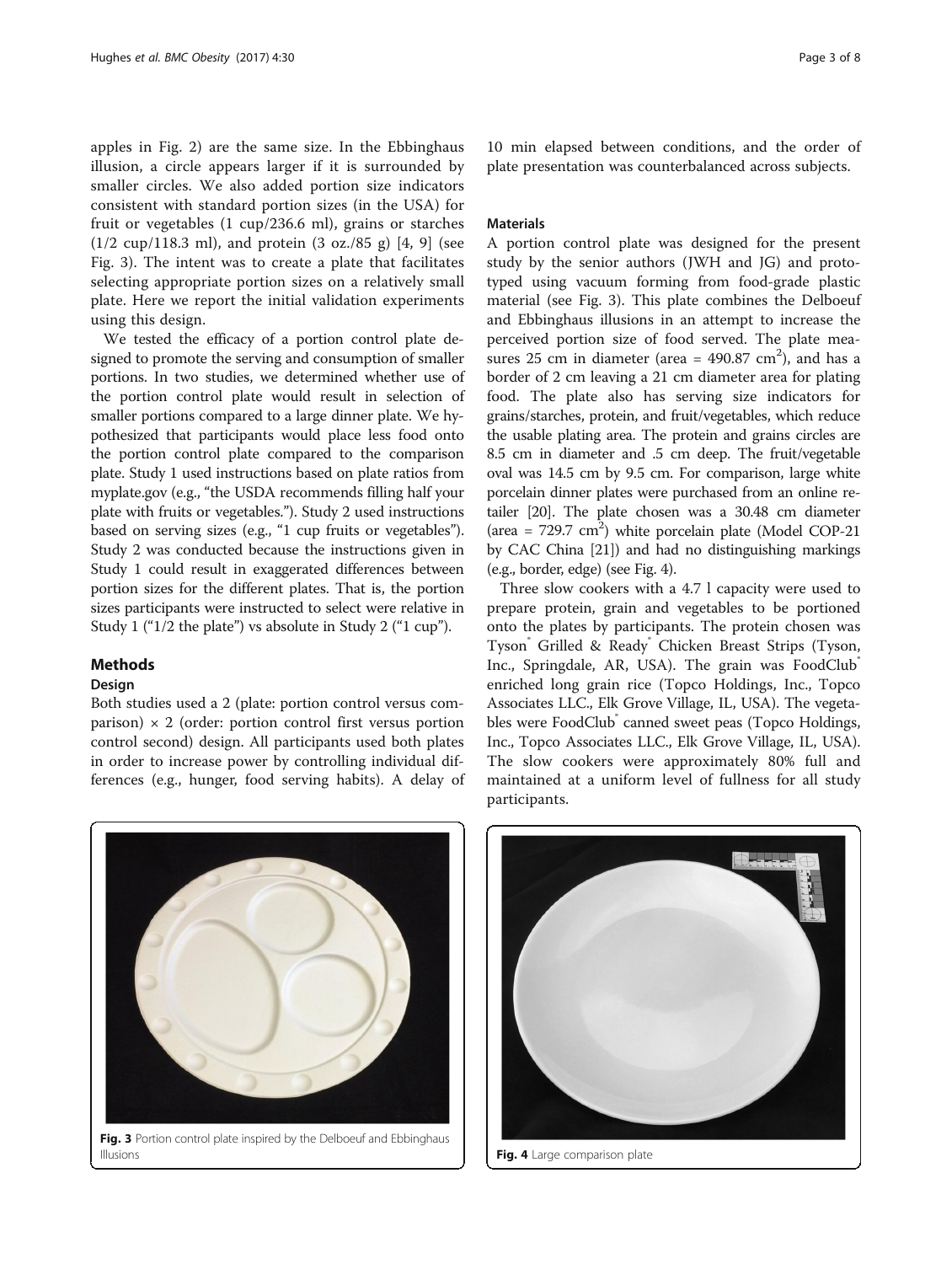apples in Fig. [2](#page-1-0)) are the same size. In the Ebbinghaus illusion, a circle appears larger if it is surrounded by smaller circles. We also added portion size indicators consistent with standard portion sizes (in the USA) for fruit or vegetables (1 cup/236.6 ml), grains or starches (1/2 cup/118.3 ml), and protein (3 oz./85 g) [[4,](#page-6-0) [9\]](#page-7-0) (see Fig. 3). The intent was to create a plate that facilitates selecting appropriate portion sizes on a relatively small plate. Here we report the initial validation experiments using this design.

We tested the efficacy of a portion control plate designed to promote the serving and consumption of smaller portions. In two studies, we determined whether use of the portion control plate would result in selection of smaller portions compared to a large dinner plate. We hypothesized that participants would place less food onto the portion control plate compared to the comparison plate. Study 1 used instructions based on plate ratios from myplate.gov (e.g., "the USDA recommends filling half your plate with fruits or vegetables."). Study 2 used instructions based on serving sizes (e.g., "1 cup fruits or vegetables"). Study 2 was conducted because the instructions given in Study 1 could result in exaggerated differences between portion sizes for the different plates. That is, the portion sizes participants were instructed to select were relative in Study 1 ("1/2 the plate") vs absolute in Study 2 ("1 cup").

#### Methods

#### Design

Both studies used a 2 (plate: portion control versus comparison)  $\times$  2 (order: portion control first versus portion control second) design. All participants used both plates in order to increase power by controlling individual differences (e.g., hunger, food serving habits). A delay of

10 min elapsed between conditions, and the order of plate presentation was counterbalanced across subjects.

#### Materials

A portion control plate was designed for the present study by the senior authors (JWH and JG) and prototyped using vacuum forming from food-grade plastic material (see Fig. 3). This plate combines the Delboeuf and Ebbinghaus illusions in an attempt to increase the perceived portion size of food served. The plate measures 25 cm in diameter (area =  $490.87 \text{ cm}^2$ ), and has a border of 2 cm leaving a 21 cm diameter area for plating food. The plate also has serving size indicators for grains/starches, protein, and fruit/vegetables, which reduce the usable plating area. The protein and grains circles are 8.5 cm in diameter and .5 cm deep. The fruit/vegetable oval was 14.5 cm by 9.5 cm. For comparison, large white porcelain dinner plates were purchased from an online retailer [[20](#page-7-0)]. The plate chosen was a 30.48 cm diameter (area =  $729.7 \text{ cm}^2$ ) white porcelain plate (Model COP-21 by CAC China [\[21\]](#page-7-0)) and had no distinguishing markings (e.g., border, edge) (see Fig. 4).

Three slow cookers with a 4.7 l capacity were used to prepare protein, grain and vegetables to be portioned onto the plates by participants. The protein chosen was Tyson<sup>®</sup> Grilled & Ready<sup>®</sup> Chicken Breast Strips (Tyson, Inc., Springdale, AR, USA). The grain was FoodClub<sup>®</sup> enriched long grain rice (Topco Holdings, Inc., Topco Associates LLC., Elk Grove Village, IL, USA). The vegetables were FoodClub<sup>®</sup> canned sweet peas (Topco Holdings, Inc., Topco Associates LLC., Elk Grove Village, IL, USA). The slow cookers were approximately 80% full and maintained at a uniform level of fullness for all study participants.



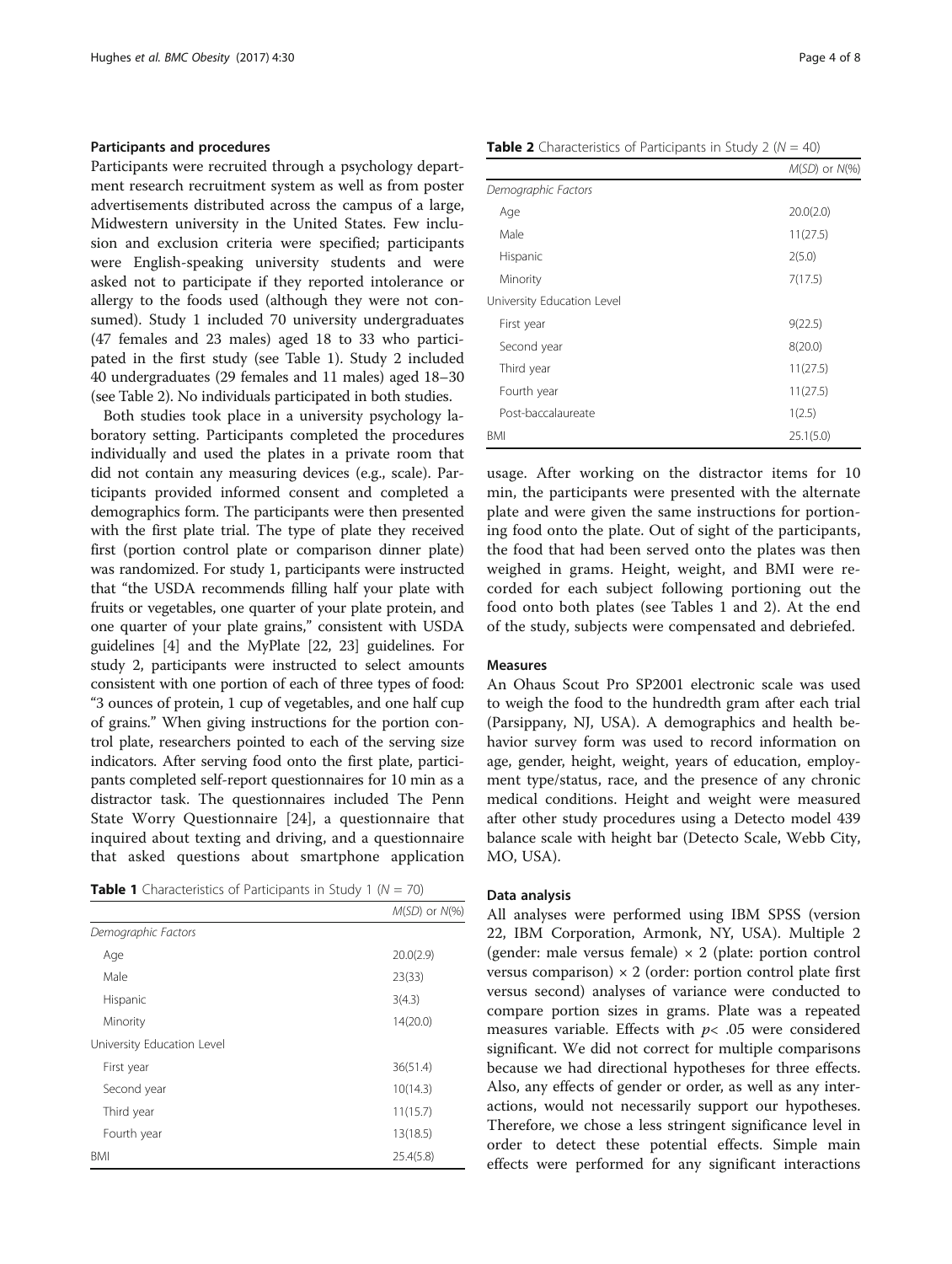#### Participants and procedures

Participants were recruited through a psychology department research recruitment system as well as from poster advertisements distributed across the campus of a large, Midwestern university in the United States. Few inclusion and exclusion criteria were specified; participants were English-speaking university students and were asked not to participate if they reported intolerance or allergy to the foods used (although they were not consumed). Study 1 included 70 university undergraduates (47 females and 23 males) aged 18 to 33 who participated in the first study (see Table 1). Study 2 included 40 undergraduates (29 females and 11 males) aged 18–30 (see Table 2). No individuals participated in both studies.

Both studies took place in a university psychology laboratory setting. Participants completed the procedures individually and used the plates in a private room that did not contain any measuring devices (e.g., scale). Participants provided informed consent and completed a demographics form. The participants were then presented with the first plate trial. The type of plate they received first (portion control plate or comparison dinner plate) was randomized. For study 1, participants were instructed that "the USDA recommends filling half your plate with fruits or vegetables, one quarter of your plate protein, and one quarter of your plate grains," consistent with USDA guidelines [[4\]](#page-6-0) and the MyPlate [[22](#page-7-0), [23\]](#page-7-0) guidelines. For study 2, participants were instructed to select amounts consistent with one portion of each of three types of food: "3 ounces of protein, 1 cup of vegetables, and one half cup of grains." When giving instructions for the portion control plate, researchers pointed to each of the serving size indicators. After serving food onto the first plate, participants completed self-report questionnaires for 10 min as a distractor task. The questionnaires included The Penn State Worry Questionnaire [\[24](#page-7-0)], a questionnaire that inquired about texting and driving, and a questionnaire that asked questions about smartphone application

**Table 1** Characteristics of Participants in Study 1 ( $N = 70$ )

|                            | $M(SD)$ or $N(\%)$ |
|----------------------------|--------------------|
| Demographic Factors        |                    |
| Age                        | 20.0(2.9)          |
| Male                       | 23(33)             |
| 3(4.3)<br>Hispanic         |                    |
| Minority                   | 14(20.0)           |
| University Education Level |                    |
| First year                 | 36(51.4)           |
| Second year                | 10(14.3)           |
| Third year                 | 11(15.7)           |
| Fourth year                | 13(18.5)           |
| <b>BMI</b>                 | 25.4(5.8)          |

**Table 2** Characteristics of Participants in Study 2 ( $N = 40$ )

|                            | $M(SD)$ or $N(\%)$ |
|----------------------------|--------------------|
| Demographic Factors        |                    |
| Age                        | 20.0(2.0)          |
| Male                       | 11(27.5)           |
| Hispanic                   | 2(5.0)             |
| Minority                   | 7(17.5)            |
| University Education Level |                    |
| First year                 | 9(22.5)            |
| Second year                | 8(20.0)            |
| Third year                 | 11(27.5)           |
| Fourth year                | 11(27.5)           |
| Post-baccalaureate         | 1(2.5)             |
| <b>BMI</b>                 | 25.1(5.0)          |

usage. After working on the distractor items for 10 min, the participants were presented with the alternate plate and were given the same instructions for portioning food onto the plate. Out of sight of the participants, the food that had been served onto the plates was then weighed in grams. Height, weight, and BMI were recorded for each subject following portioning out the food onto both plates (see Tables 1 and 2). At the end of the study, subjects were compensated and debriefed.

#### Measures

An Ohaus Scout Pro SP2001 electronic scale was used to weigh the food to the hundredth gram after each trial (Parsippany, NJ, USA). A demographics and health behavior survey form was used to record information on age, gender, height, weight, years of education, employment type/status, race, and the presence of any chronic medical conditions. Height and weight were measured after other study procedures using a Detecto model 439 balance scale with height bar (Detecto Scale, Webb City, MO, USA).

#### Data analysis

All analyses were performed using IBM SPSS (version 22, IBM Corporation, Armonk, NY, USA). Multiple 2 (gender: male versus female)  $\times$  2 (plate: portion control versus comparison)  $\times$  2 (order: portion control plate first versus second) analyses of variance were conducted to compare portion sizes in grams. Plate was a repeated measures variable. Effects with  $p$ < .05 were considered significant. We did not correct for multiple comparisons because we had directional hypotheses for three effects. Also, any effects of gender or order, as well as any interactions, would not necessarily support our hypotheses. Therefore, we chose a less stringent significance level in order to detect these potential effects. Simple main effects were performed for any significant interactions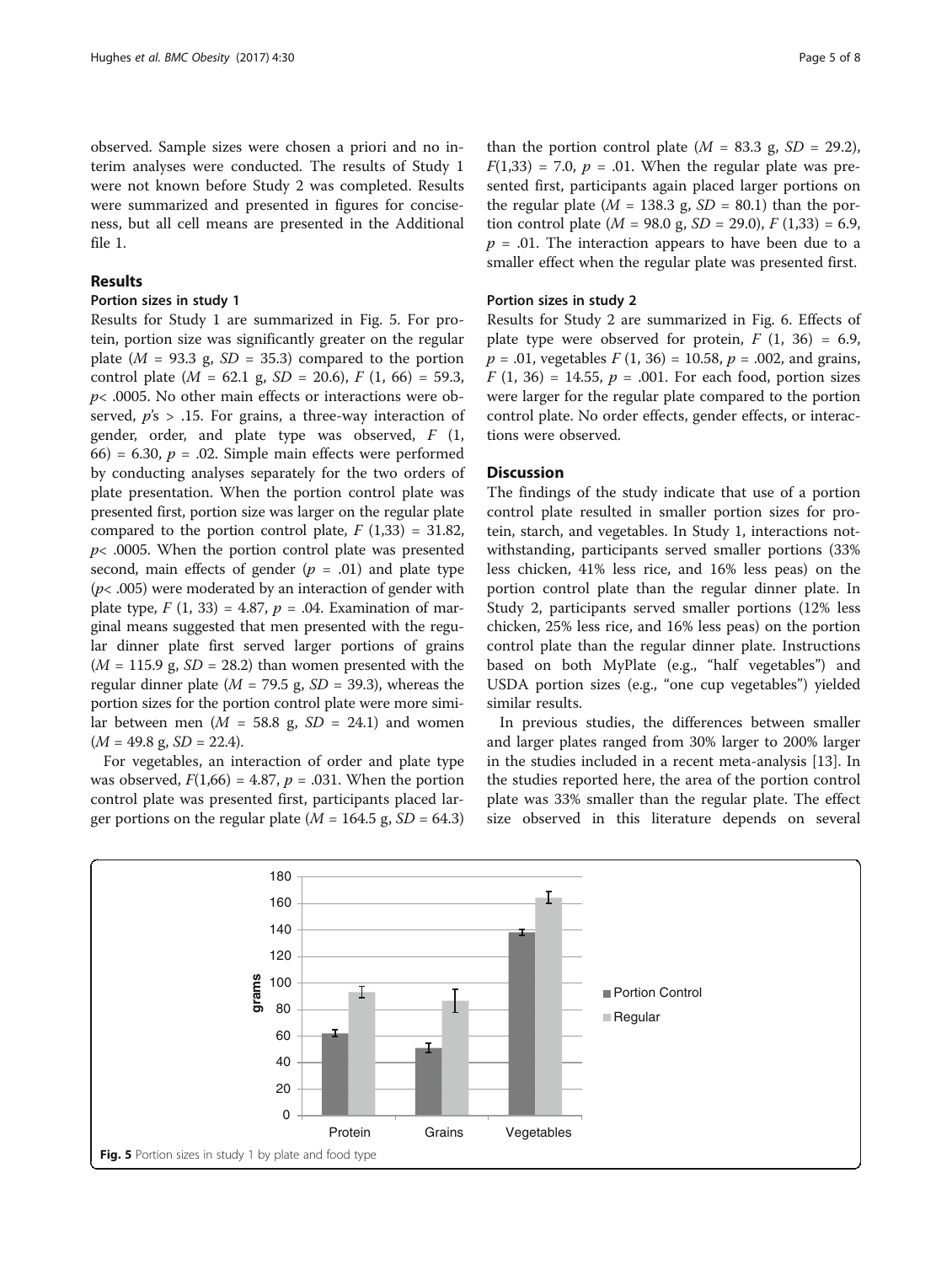observed. Sample sizes were chosen a priori and no interim analyses were conducted. The results of Study 1 were not known before Study 2 was completed. Results were summarized and presented in figures for conciseness, but all cell means are presented in the Additional file [1.](#page-6-0)

#### Results

#### Portion sizes in study 1

Results for Study 1 are summarized in Fig. 5. For protein, portion size was significantly greater on the regular plate ( $M = 93.3$  g,  $SD = 35.3$ ) compared to the portion control plate  $(M = 62.1 \text{ g}, SD = 20.6), F(1, 66) = 59.3,$  $p$ < .0005. No other main effects or interactions were observed,  $p's > .15$ . For grains, a three-way interaction of gender, order, and plate type was observed, F (1, 66) = 6.30,  $p = 0.02$ . Simple main effects were performed by conducting analyses separately for the two orders of plate presentation. When the portion control plate was presented first, portion size was larger on the regular plate compared to the portion control plate,  $F(1,33) = 31.82$ ,  $p$ < .0005. When the portion control plate was presented second, main effects of gender  $(p = .01)$  and plate type  $(p< .005)$  were moderated by an interaction of gender with plate type,  $F(1, 33) = 4.87$ ,  $p = .04$ . Examination of marginal means suggested that men presented with the regular dinner plate first served larger portions of grains  $(M = 115.9 \text{ g}, SD = 28.2)$  than women presented with the regular dinner plate ( $M = 79.5$  g,  $SD = 39.3$ ), whereas the portion sizes for the portion control plate were more similar between men ( $M = 58.8$  g,  $SD = 24.1$ ) and women  $(M = 49.8 \text{ g}, SD = 22.4).$ 

For vegetables, an interaction of order and plate type was observed,  $F(1,66) = 4.87$ ,  $p = .031$ . When the portion control plate was presented first, participants placed larger portions on the regular plate ( $M = 164.5$  g,  $SD = 64.3$ )

than the portion control plate  $(M = 83.3 \text{ g}, SD = 29.2)$ ,  $F(1,33) = 7.0$ ,  $p = .01$ . When the regular plate was presented first, participants again placed larger portions on the regular plate ( $M = 138.3$  g,  $SD = 80.1$ ) than the portion control plate ( $M = 98.0$  g,  $SD = 29.0$ ),  $F(1,33) = 6.9$ ,  $p = .01$ . The interaction appears to have been due to a smaller effect when the regular plate was presented first.

#### Portion sizes in study 2

Results for Study 2 are summarized in Fig. [6.](#page-5-0) Effects of plate type were observed for protein,  $F(1, 36) = 6.9$ ,  $p = .01$ , vegetables  $F(1, 36) = 10.58$ ,  $p = .002$ , and grains,  $F(1, 36) = 14.55, p = .001$ . For each food, portion sizes were larger for the regular plate compared to the portion control plate. No order effects, gender effects, or interactions were observed.

#### **Discussion**

The findings of the study indicate that use of a portion control plate resulted in smaller portion sizes for protein, starch, and vegetables. In Study 1, interactions notwithstanding, participants served smaller portions (33% less chicken, 41% less rice, and 16% less peas) on the portion control plate than the regular dinner plate. In Study 2, participants served smaller portions (12% less chicken, 25% less rice, and 16% less peas) on the portion control plate than the regular dinner plate. Instructions based on both MyPlate (e.g., "half vegetables") and USDA portion sizes (e.g., "one cup vegetables") yielded similar results.

In previous studies, the differences between smaller and larger plates ranged from 30% larger to 200% larger in the studies included in a recent meta-analysis [\[13](#page-7-0)]. In the studies reported here, the area of the portion control plate was 33% smaller than the regular plate. The effect size observed in this literature depends on several

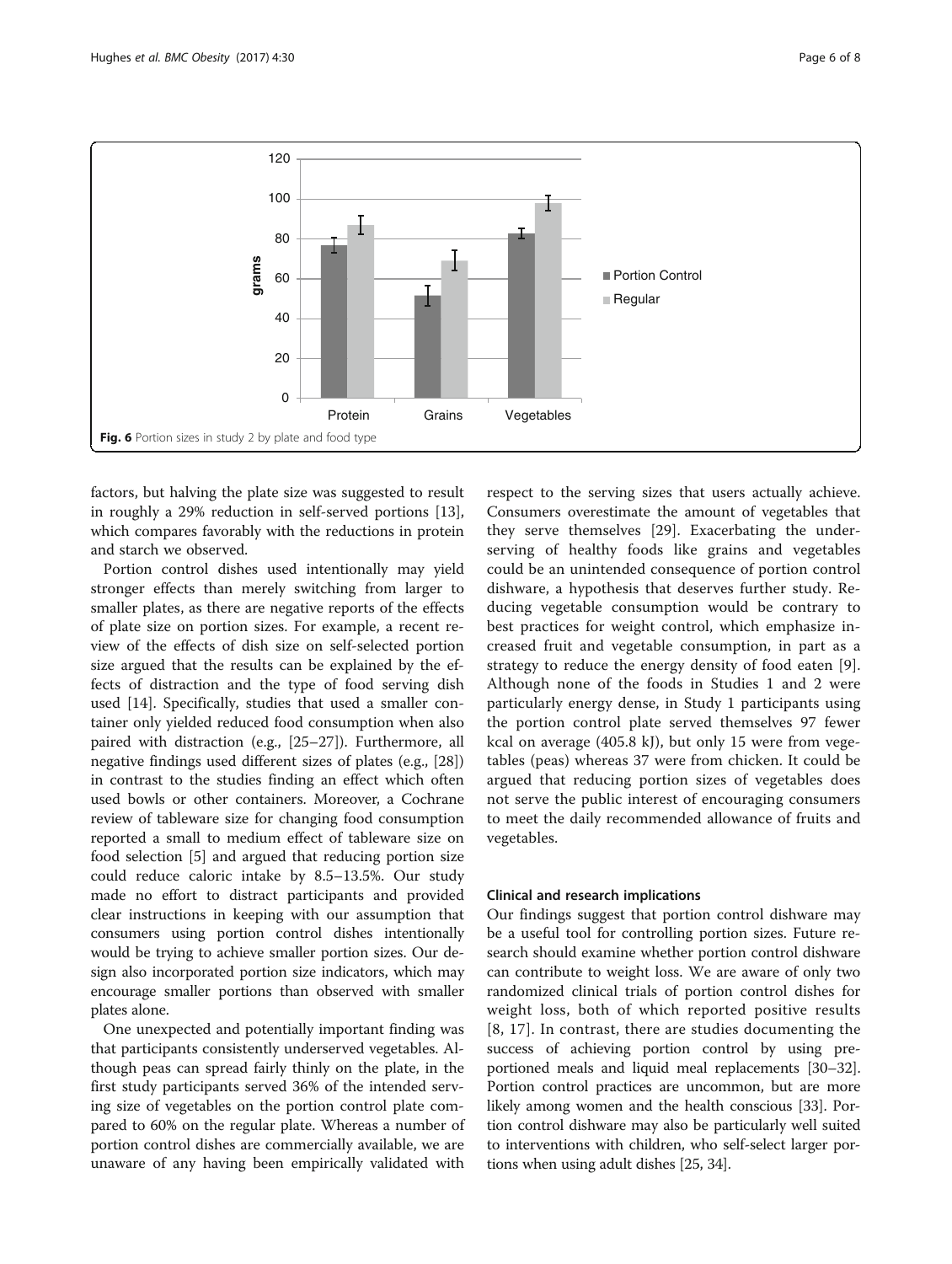<span id="page-5-0"></span>

factors, but halving the plate size was suggested to result in roughly a 29% reduction in self-served portions [\[13](#page-7-0)], which compares favorably with the reductions in protein and starch we observed.

Portion control dishes used intentionally may yield stronger effects than merely switching from larger to smaller plates, as there are negative reports of the effects of plate size on portion sizes. For example, a recent review of the effects of dish size on self-selected portion size argued that the results can be explained by the effects of distraction and the type of food serving dish used [[14\]](#page-7-0). Specifically, studies that used a smaller container only yielded reduced food consumption when also paired with distraction (e.g., [[25](#page-7-0)–[27](#page-7-0)]). Furthermore, all negative findings used different sizes of plates (e.g., [\[28](#page-7-0)]) in contrast to the studies finding an effect which often used bowls or other containers. Moreover, a Cochrane review of tableware size for changing food consumption reported a small to medium effect of tableware size on food selection [\[5](#page-6-0)] and argued that reducing portion size could reduce caloric intake by 8.5–13.5%. Our study made no effort to distract participants and provided clear instructions in keeping with our assumption that consumers using portion control dishes intentionally would be trying to achieve smaller portion sizes. Our design also incorporated portion size indicators, which may encourage smaller portions than observed with smaller plates alone.

One unexpected and potentially important finding was that participants consistently underserved vegetables. Although peas can spread fairly thinly on the plate, in the first study participants served 36% of the intended serving size of vegetables on the portion control plate compared to 60% on the regular plate. Whereas a number of portion control dishes are commercially available, we are unaware of any having been empirically validated with

respect to the serving sizes that users actually achieve. Consumers overestimate the amount of vegetables that they serve themselves [\[29](#page-7-0)]. Exacerbating the underserving of healthy foods like grains and vegetables could be an unintended consequence of portion control dishware, a hypothesis that deserves further study. Reducing vegetable consumption would be contrary to best practices for weight control, which emphasize increased fruit and vegetable consumption, in part as a strategy to reduce the energy density of food eaten [\[9](#page-7-0)]. Although none of the foods in Studies 1 and 2 were particularly energy dense, in Study 1 participants using the portion control plate served themselves 97 fewer kcal on average (405.8 kJ), but only 15 were from vegetables (peas) whereas 37 were from chicken. It could be argued that reducing portion sizes of vegetables does not serve the public interest of encouraging consumers to meet the daily recommended allowance of fruits and vegetables.

#### Clinical and research implications

Our findings suggest that portion control dishware may be a useful tool for controlling portion sizes. Future research should examine whether portion control dishware can contribute to weight loss. We are aware of only two randomized clinical trials of portion control dishes for weight loss, both of which reported positive results [[8](#page-7-0), [17](#page-7-0)]. In contrast, there are studies documenting the success of achieving portion control by using preportioned meals and liquid meal replacements [\[30](#page-7-0)–[32](#page-7-0)]. Portion control practices are uncommon, but are more likely among women and the health conscious [[33](#page-7-0)]. Portion control dishware may also be particularly well suited to interventions with children, who self-select larger portions when using adult dishes [\[25, 34](#page-7-0)].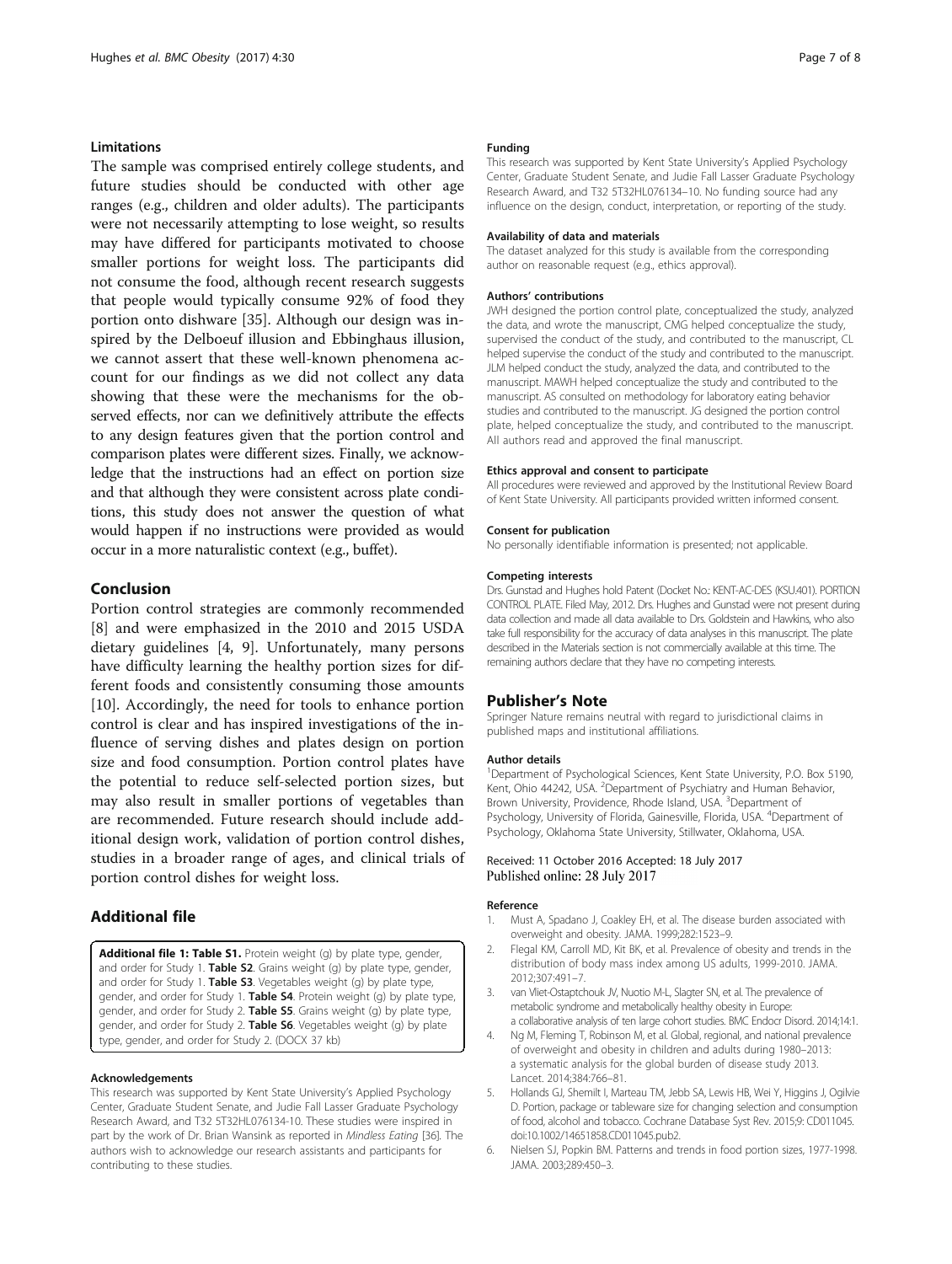#### <span id="page-6-0"></span>Limitations

The sample was comprised entirely college students, and future studies should be conducted with other age ranges (e.g., children and older adults). The participants were not necessarily attempting to lose weight, so results may have differed for participants motivated to choose smaller portions for weight loss. The participants did not consume the food, although recent research suggests that people would typically consume 92% of food they portion onto dishware [\[35](#page-7-0)]. Although our design was inspired by the Delboeuf illusion and Ebbinghaus illusion, we cannot assert that these well-known phenomena account for our findings as we did not collect any data showing that these were the mechanisms for the observed effects, nor can we definitively attribute the effects to any design features given that the portion control and comparison plates were different sizes. Finally, we acknowledge that the instructions had an effect on portion size and that although they were consistent across plate conditions, this study does not answer the question of what would happen if no instructions were provided as would occur in a more naturalistic context (e.g., buffet).

#### Conclusion

Portion control strategies are commonly recommended [[8\]](#page-7-0) and were emphasized in the 2010 and 2015 USDA dietary guidelines [4, [9](#page-7-0)]. Unfortunately, many persons have difficulty learning the healthy portion sizes for different foods and consistently consuming those amounts [[10\]](#page-7-0). Accordingly, the need for tools to enhance portion control is clear and has inspired investigations of the influence of serving dishes and plates design on portion size and food consumption. Portion control plates have the potential to reduce self-selected portion sizes, but may also result in smaller portions of vegetables than are recommended. Future research should include additional design work, validation of portion control dishes, studies in a broader range of ages, and clinical trials of portion control dishes for weight loss.

### Additional file

[Additional file 1: Table S1.](dx.doi.org/10.1186/s40608-017-0167-z) Protein weight (g) by plate type, gender, and order for Study 1. Table S2. Grains weight (g) by plate type, gender, and order for Study 1. Table S3. Vegetables weight  $(q)$  by plate type, gender, and order for Study 1. Table S4. Protein weight (g) by plate type, gender, and order for Study 2. Table S5. Grains weight (g) by plate type, gender, and order for Study 2. Table S6. Vegetables weight (g) by plate type, gender, and order for Study 2. (DOCX 37 kb)

#### Acknowledgements

This research was supported by Kent State University's Applied Psychology Center, Graduate Student Senate, and Judie Fall Lasser Graduate Psychology Research Award, and T32 5T32HL076134-10. These studies were inspired in part by the work of Dr. Brian Wansink as reported in Mindless Eating [\[36](#page-7-0)]. The authors wish to acknowledge our research assistants and participants for contributing to these studies.

#### Funding

This research was supported by Kent State University's Applied Psychology Center, Graduate Student Senate, and Judie Fall Lasser Graduate Psychology Research Award, and T32 5T32HL076134–10. No funding source had any influence on the design, conduct, interpretation, or reporting of the study.

#### Availability of data and materials

The dataset analyzed for this study is available from the corresponding author on reasonable request (e.g., ethics approval).

#### Authors' contributions

JWH designed the portion control plate, conceptualized the study, analyzed the data, and wrote the manuscript, CMG helped conceptualize the study, supervised the conduct of the study, and contributed to the manuscript, CL helped supervise the conduct of the study and contributed to the manuscript. JLM helped conduct the study, analyzed the data, and contributed to the manuscript. MAWH helped conceptualize the study and contributed to the manuscript. AS consulted on methodology for laboratory eating behavior studies and contributed to the manuscript. JG designed the portion control plate, helped conceptualize the study, and contributed to the manuscript. All authors read and approved the final manuscript.

#### Ethics approval and consent to participate

All procedures were reviewed and approved by the Institutional Review Board of Kent State University. All participants provided written informed consent.

#### Consent for publication

No personally identifiable information is presented; not applicable.

#### Competing interests

Drs. Gunstad and Hughes hold Patent (Docket No.: KENT-AC-DES (KSU.401). PORTION CONTROL PLATE. Filed May, 2012. Drs. Hughes and Gunstad were not present during data collection and made all data available to Drs. Goldstein and Hawkins, who also take full responsibility for the accuracy of data analyses in this manuscript. The plate described in the Materials section is not commercially available at this time. The remaining authors declare that they have no competing interests.

#### Publisher's Note

Springer Nature remains neutral with regard to jurisdictional claims in published maps and institutional affiliations.

#### Author details

<sup>1</sup>Department of Psychological Sciences, Kent State University, P.O. Box 5190 Kent, Ohio 44242, USA. <sup>2</sup> Department of Psychiatry and Human Behavior Brown University, Providence, Rhode Island, USA.<sup>3</sup> Department of Psychology, University of Florida, Gainesville, Florida, USA. <sup>4</sup>Department of Psychology, Oklahoma State University, Stillwater, Oklahoma, USA.

#### Received: 11 October 2016 Accepted: 18 July 2017 Published online: 28 July 2017

#### Reference

- 1. Must A, Spadano J, Coakley EH, et al. The disease burden associated with overweight and obesity. JAMA. 1999;282:1523–9.
- 2. Flegal KM, Carroll MD, Kit BK, et al. Prevalence of obesity and trends in the distribution of body mass index among US adults, 1999-2010. JAMA. 2012;307:491–7.
- 3. van Vliet-Ostaptchouk JV, Nuotio M-L, Slagter SN, et al. The prevalence of metabolic syndrome and metabolically healthy obesity in Europe: a collaborative analysis of ten large cohort studies. BMC Endocr Disord. 2014;14:1.
- 4. Ng M, Fleming T, Robinson M, et al. Global, regional, and national prevalence of overweight and obesity in children and adults during 1980–2013: a systematic analysis for the global burden of disease study 2013. Lancet. 2014;384:766–81.
- 5. Hollands GJ, Shemilt I, Marteau TM, Jebb SA, Lewis HB, Wei Y, Higgins J, Ogilvie D. Portion, package or tableware size for changing selection and consumption of food, alcohol and tobacco. Cochrane Database Syst Rev. 2015;9: CD011045. doi:[10.1002/14651858.CD011045.pub2.](http://dx.doi.org/10.1002/14651858.CD011045.pub2)
- 6. Nielsen SJ, Popkin BM. Patterns and trends in food portion sizes, 1977-1998. JAMA. 2003;289:450–3.